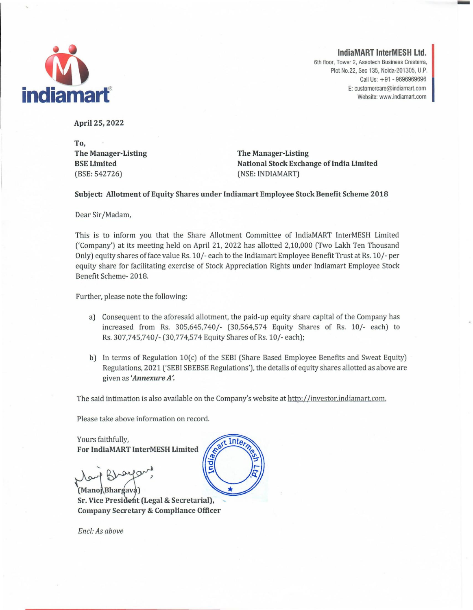

**IndiaMART InterMESH** Ltd.

6th floor, Tower 2, Assotech Business Cresterra, Plot No.22, Sec 135, Noida-201305, U.P. Call Us: + 91 - 9696969696 **indiamart** 

April 25, 2022

To, The Manager-Listing BSE Limited (BSE: 542726)

The Manager-Listing National Stock Exchange of India Limited (NSE: INDIAMART)

Subject: Allotment of Equity Shares under Indiamart Employee Stock Benefit Scheme 2018

Dear Sir/Madam,

This is to inform you that the Share Allotment Committee of IndiaMART InterMESH Limited ('Company') at its meeting held on April 21, 2022 has allotted 2,10,000 (Two Lakh Ten Thousand Only) equity shares of face value Rs. 10/- each to the Indiamart Employee Benefit Trust at Rs. 10/- per equity share for facilitating exercise of Stock Appreciation Rights under lndiamart Employee Stock Benefit Scheme- 2018.

Further, please note the following:

- a) Consequent to the aforesaid allotment, the paid-up equity share capital of the Company has increased from Rs. 305,645,740/- (30,564,574 Equity Shares of Rs. 10/- each) to Rs. 307,745,740/- (30,774,574 Equity Shares of Rs. 10/- each);
- b) In terms of Regulation 10(c) of the SEBI (Share Based Employee Benefits and Sweat Equity) Regulations, 2021 ('SEBI SBEBSE Regulations'), the details of equity shares allotted as above are given as *'Annexure A'.*

The said intimation is also available on the Company's website at http://investor.indiamart.com.

Please take above information on record.

Yours faithfully, For IndiaMART InterMESH Limited

•...  $orro$ 

(Mano Bhargava) Sr. Vice President (Legal & Secretarial), Company Secretary & Compliance Officer



*End: As above*